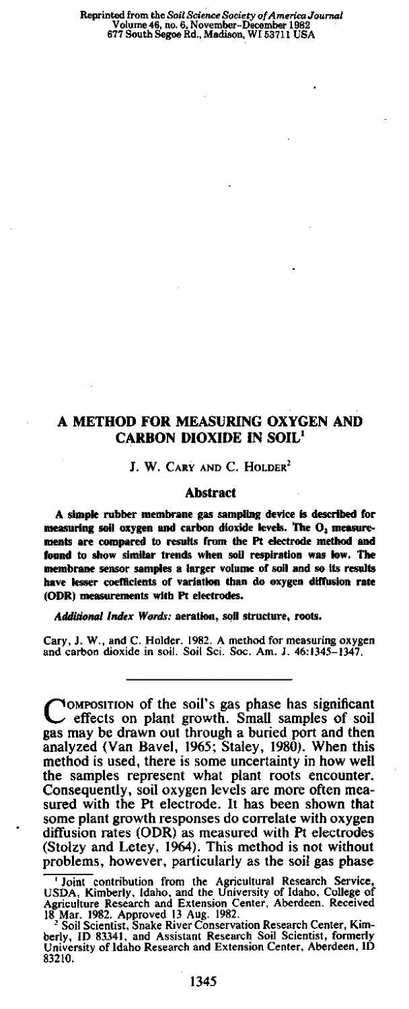# A METHOD FOR MEASURING OXYGEN AND CARBON DIOXIDE IN SOIL'

# J. W. CARY AND C. HOLDER<sup>2</sup>

## **Abstract**

A **simple** rubber **membrane** gas **sampling device is described for measuring soil oxygen and carbon dioxide levels. The O<sub>2</sub> measure**ments are compared to **results from the Pt electrode method and found to show similar trends when soil respiration was low. The membrane sensor samples** a larger volume of soil and so its results have lesser coefficients of **variation than do oxygen diffusion rate (ODR) measurements with Pt electrodes.**

*Additional Index Words:* aeration, soil structure, roots.

Cary, **J. W.,** and C. Holder. 1982. A method for measuring oxygen and carbon dioxide in soil. Soil Sci. Soc. Am. J. 46:1345-1347.

COMPOSITION of the soil's gas phase has significant<br>effects on plant growth. Small samples of soil OMPOSITION of the soil's gas phase has significant gas may be drawn out through a buried port and then analyzed (Van Bavel, 1965; Staley, 1980). When this method is used, there is some uncertainty in how well the samples represent what plant roots encounter. Consequently, soil oxygen levels are more often measured with the Pt electrode. It has been shown that some plant growth responses do correlate with oxygen diffusion rates (ODR) as measured with Pt electrodes (Stoizy and Letey, 1964). This method is not without problems, however, particularly as the soil gas phase

Joint contribution from the Agricultural Research Service, USDA, Kimberly, Idaho, and the University of Idaho, College of Agriculture Research and Extension Center, Aberdeen. Received

<sup>18</sup> Mar. 1982. Approved 13 Aug. 1982.<br><sup>2</sup> Soil Scientist, Snake River Conservation Research Center, Kim-<br>berly, ID 83341, and Assistant Research Soil Scientist, formerly<br>University of Idaho Research and Extension Center, Ab 83210.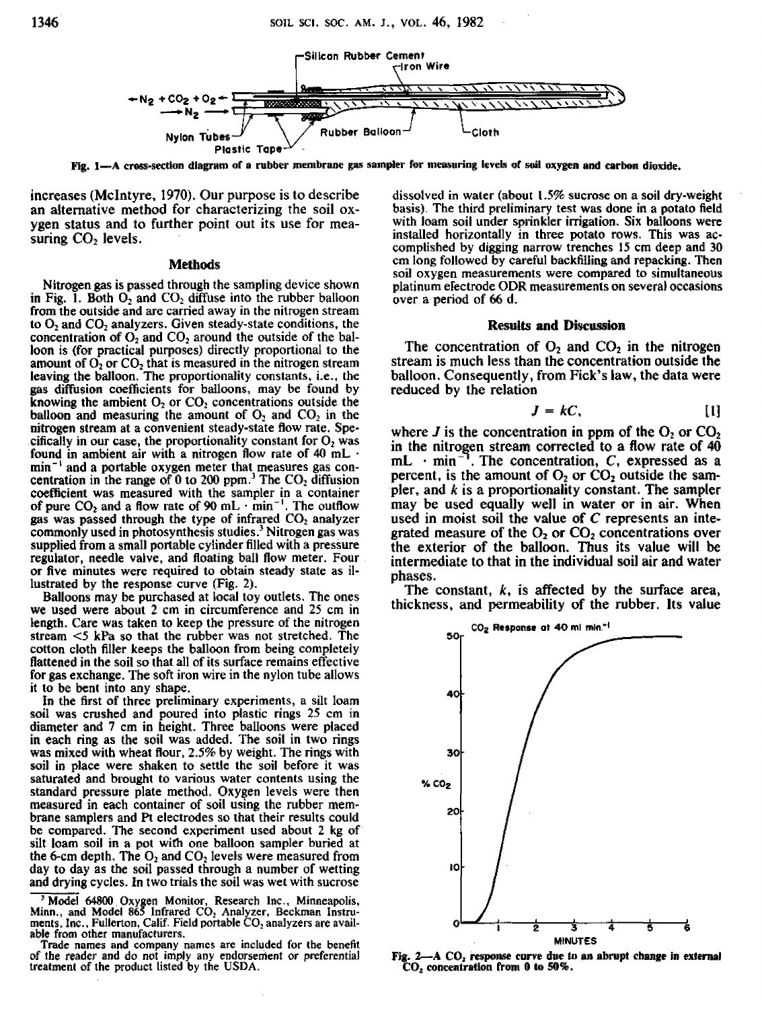

Fig. 1—A cross-section diagram of a rubber membrane gas sampler for measuring levels of soil oxygen and carbon dioxide.

increases (McIntyre, 1970). Our purpose is to describe an alternative method for characterizing the soil oxygen status and to further point out its use for measuring  $CO<sub>2</sub>$  levels.

## **Methods**

Nitrogen gas is passed through the sampling device shown in Fig. 1. Both  $O_2$  and  $CO_2$  diffuse into the rubber balloon from the outside and are carried away in the nitrogen stream to  $O_2$  and  $CO_2$  analyzers. Given steady-state conditions, the concentration of  $O_2$  and  $CO_2$  around the outside of the balloon is (for practical purposes) directly proportional to the amount of  $O_2$  or  $CO_2$  that is measured in the nitrogen stream leaving the balloon. The proportionality constants, i.e., the gas diffusion coefficients for balloons, may be found by knowing the ambient  $O_2$  or  $CO_2$  concentrations outside the balloon and measuring the amount of  $O_2$  and  $CO_2$  in the nitrogen stream at a convenient steady-state flow rate. Specifically in our case, the proportionality constant for  $O<sub>2</sub>$  was found in ambient air with a nitrogen flow rate of 40 mL  $\cdot$ min" and a portable oxygen meter that measures gas concentration in the range of  $0$  to 200 ppm.<sup>3</sup> The CO<sub>2</sub> diffusion coefficient was measured with the sampler in a container of pure  $CO_2$  and a flow rate of 90 mL  $\cdot$  min<sup>-1</sup>. The outflow gas was passed through the type of infrared  $CO<sub>2</sub>$  analyzer commonly used in photosynthesis studies.' Nitrogen gas was supplied from a small portable cylinder filled with a pressure regulator, needle valve, and floating ball flow meter. Four or five minutes were required to obtain steady state as illustrated by the response curve (Fig. 2).

Balloons may be purchased at local toy outlets. The ones we used were about 2 cm in circumference and 25 cm in length. Care was taken to keep the pressure of the nitrogen stream <5 kPa so that the rubber was not stretched. The cotton cloth filler keeps the balloon from being completely flattened in the soil so that all of its surface remains effective for gas exchange. The soft iron wire in the nylon tube allows it to be bent into any shape.

**In** the first of three preliminary experiments, a silt loam soil was crushed and poured into plastic rings 25 cm in diameter and 7 cm in height. Three balloons were placed in each ring as *the* soil was added. The soil in two rings was mixed with wheat flour, 2.5% by weight. The rings with soil in place were shaken to settle the soil before it was saturated and brought to various water contents using the standard pressure plate method. Oxygen levels were then measured in each container of soil using the rubber membrane samplers and Pt electrodes so that their results could be compared. The second experiment used about 2 kg of silt loam soil in a pot with one balloon sampler buried at the 6-cm depth. The  $O_2$  and  $CO_2$  levels were measured from day to day as the soil passed through a number of wetting and drying cycles. **in** two trials the soil was wet with sucrose

Model 64800 Oxygen Monitor, Research Inc., Minneapolis, Minn., and Model 865 Infrared  $CO<sub>2</sub>$  Analyzer, Beckman Instruments, Inc., Fullerton, Calif. Field portable  $CO<sub>2</sub>$  analyzers are available from other manufacturers.

Trade names and company names are included for the benefit of the reader and do not imply any endorsement or preferential treatment of the product listed by the USDA.

dissolved in water (about 1.5% sucrose on a soil dry-weight basis). The third preliminary test was done in a potato field with loam soil under sprinkler irrigation. Six balloons were installed horizontally in three potato rows. This was accomplished by digging narrow trenches 15 cm deep and 30 cm long followed by careful backfilling and repacking. Then soil oxygen measurements were compared to simultaneous platinum electrode ODA measurements on several occasions over a period of 66 d.

### Results and Discussion

The concentration of  $O_2$  and  $CO_2$  in the nitrogen stream is much less than the concentration outside the balloon. Consequently, from Fick's law, the data were reduced by the relation

$$
J = kC, \qquad [1]
$$

where  $J$  is the concentration in ppm of the  $O_2$  or  $CO_2$ in the nitrogen stream corrected to a flow rate of 40 mL  $\cdot$  min<sup>-1</sup>. The concentration, *C*, expressed as a percent, is the amount of  $O_2$  or  $CO_2$  outside the sampler, and *k* is a proportionality constant. The sampler may be used equally well in water or in air. When used in moist soil the value of *C* represents an integrated measure of the  $O<sub>2</sub>$  or  $CO<sub>2</sub>$  concentrations over the exterior of the balloon. Thus its value will be intermediate to that in the individual soil air and water phases.

The constant, *k,* is affected by the surface area, thickness, and permeability of the rubber. Its value



Fig.  $2-$  A  $CO<sub>2</sub>$  response curve due to an abrupt change in external CO, concentration from 0 to 50%.